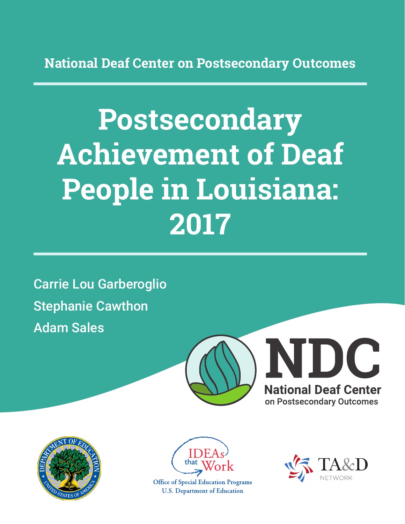**National Deaf Center on Postsecondary Outcomes**

# **Postsecondary Achievement of Deaf People in Louisiana: 2017**

Carrie Lou Garberoglio Stephanie Cawthon Adam Sales







**Office of Special Education Programs U.S. Department of Education** 

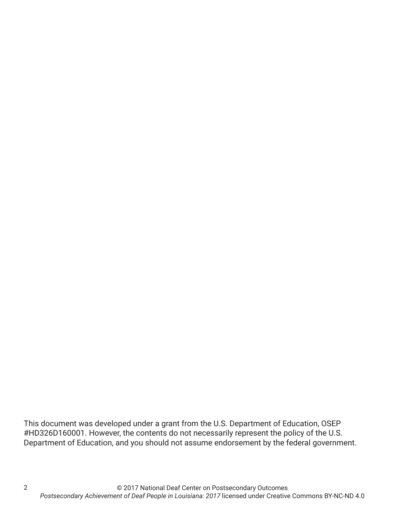This document was developed under a grant from the U.S. Department of Education, OSEP #HD326D160001. However, the contents do not necessarily represent the policy of the U.S. Department of Education, and you should not assume endorsement by the federal government.

2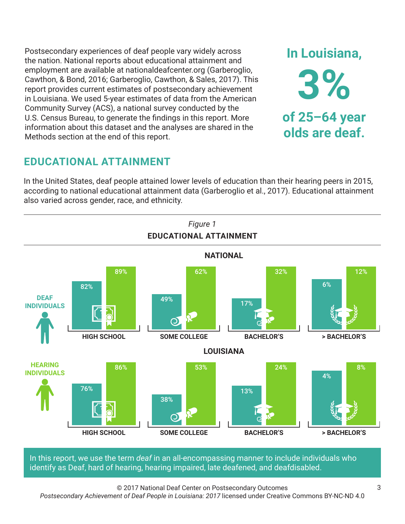Postsecondary experiences of deaf people vary widely across the nation. National reports about educational attainment and employment are available at nationaldeafcenter.org (Garberoglio, Cawthon, & Bond, 2016; Garberoglio, Cawthon, & Sales, 2017). This report provides current estimates of postsecondary achievement in Louisiana. We used 5-year estimates of data from the American Community Survey (ACS), a national survey conducted by the U.S. Census Bureau, to generate the findings in this report. More information about this dataset and the analyses are shared in the Methods section at the end of this report.

# **EDUCATIONAL ATTAINMENT**

In the United States, deaf people attained lower levels of education than their hearing peers in 2015, according to national educational attainment data (Garberoglio et al., 2017). Educational attainment also varied across gender, race, and ethnicity.



In this report, we use the term *deaf* in an all-encompassing manner to include individuals who identify as Deaf, hard of hearing, hearing impaired, late deafened, and deafdisabled.

© 2017 National Deaf Center on Postsecondary Outcomes

*Postsecondary Achievement of Deaf People in Louisiana: 2017* licensed under Creative Commons BY-NC-ND 4.0

**In Louisiana,**

**3%**

**of 25–64 year**

**olds are deaf.**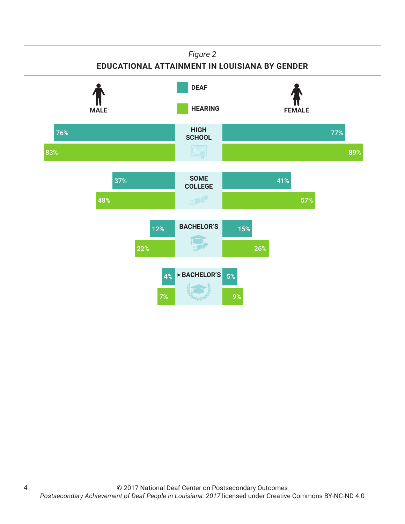### *Figure 2*

## **EDUCATIONAL ATTAINMENT IN LOUISIANA BY GENDER**



4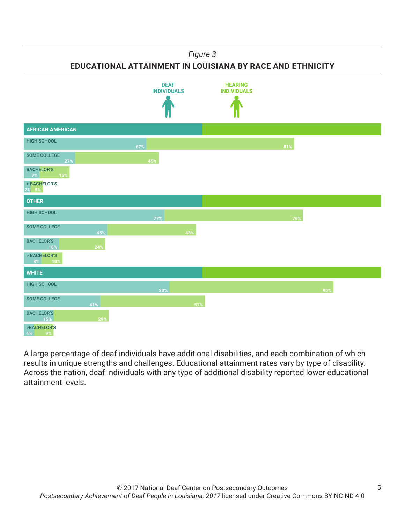#### *Figure 3*

**EDUCATIONAL ATTAINMENT IN LOUISIANA BY RACE AND ETHNICITY**



A large percentage of deaf individuals have additional disabilities, and each combination of which results in unique strengths and challenges. Educational attainment rates vary by type of disability. Across the nation, deaf individuals with any type of additional disability reported lower educational attainment levels.

5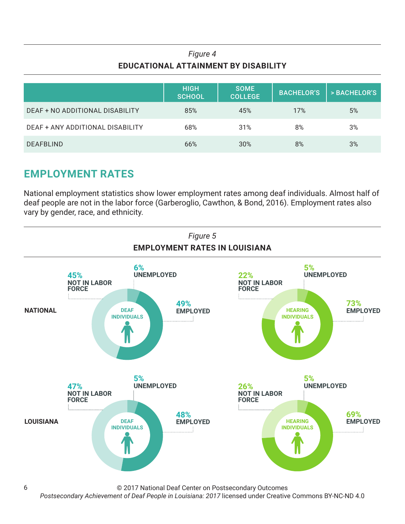## *Figure 4* **EDUCATIONAL ATTAINMENT BY DISABILITY**

|                                  | <b>HIGH</b><br><b>SCHOOL</b> | <b>SOME</b><br><b>COLLEGE</b> | <b>BACHELOR'S</b> | > BACHELOR'S |
|----------------------------------|------------------------------|-------------------------------|-------------------|--------------|
| DEAF + NO ADDITIONAL DISABILITY  | 85%                          | 45%                           | 17%               | 5%           |
| DEAF + ANY ADDITIONAL DISABILITY | 68%                          | 31%                           | 8%                | 3%           |
| <b>DEAFBLIND</b>                 | 66%                          | 30%                           | 8%                | 3%           |

# **EMPLOYMENT RATES**

6

National employment statistics show lower employment rates among deaf individuals. Almost half of deaf people are not in the labor force (Garberoglio, Cawthon, & Bond, 2016). Employment rates also vary by gender, race, and ethnicity.



© 2017 National Deaf Center on Postsecondary Outcomes

*Postsecondary Achievement of Deaf People in Louisiana: 2017* licensed under Creative Commons BY-NC-ND 4.0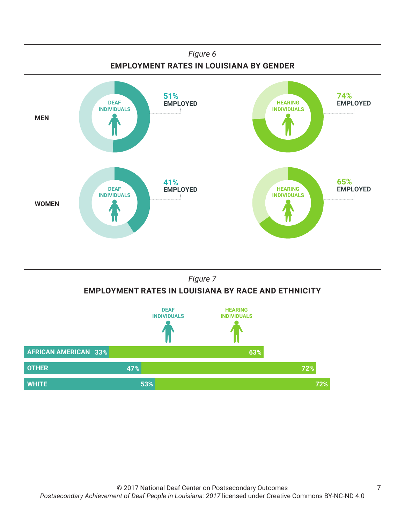

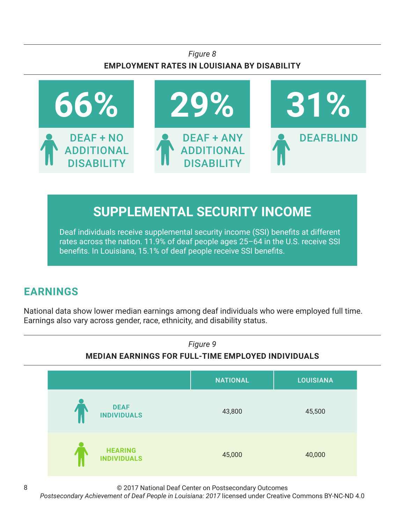## *Figure 8* **EMPLOYMENT RATES IN LOUISIANA BY DISABILITY**



# **SUPPLEMENTAL SECURITY INCOME**

Deaf individuals receive supplemental security income (SSI) benefits at different rates across the nation. 11.9% of deaf people ages 25–64 in the U.S. receive SSI benefits. In Louisiana, 15.1% of deaf people receive SSI benefits.

# **EARNINGS**

National data show lower median earnings among deaf individuals who were employed full time. Earnings also vary across gender, race, ethnicity, and disability status.



© 2017 National Deaf Center on Postsecondary Outcomes

*Postsecondary Achievement of Deaf People in Louisiana: 2017* licensed under Creative Commons BY-NC-ND 4.0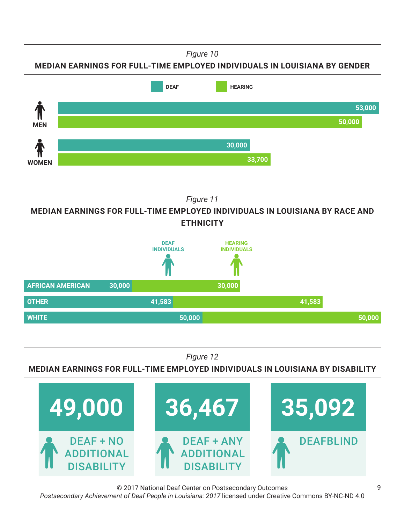*Figure 10*

**MEDIAN EARNINGS FOR FULL-TIME EMPLOYED INDIVIDUALS IN LOUISIANA BY GENDER**



*Figure 11*

**MEDIAN EARNINGS FOR FULL-TIME EMPLOYED INDIVIDUALS IN LOUISIANA BY RACE AND ETHNICITY**



*Figure 12*

**MEDIAN EARNINGS FOR FULL-TIME EMPLOYED INDIVIDUALS IN LOUISIANA BY DISABILITY**



© 2017 National Deaf Center on Postsecondary Outcomes *Postsecondary Achievement of Deaf People in Louisiana: 2017* licensed under Creative Commons BY-NC-ND 4.0